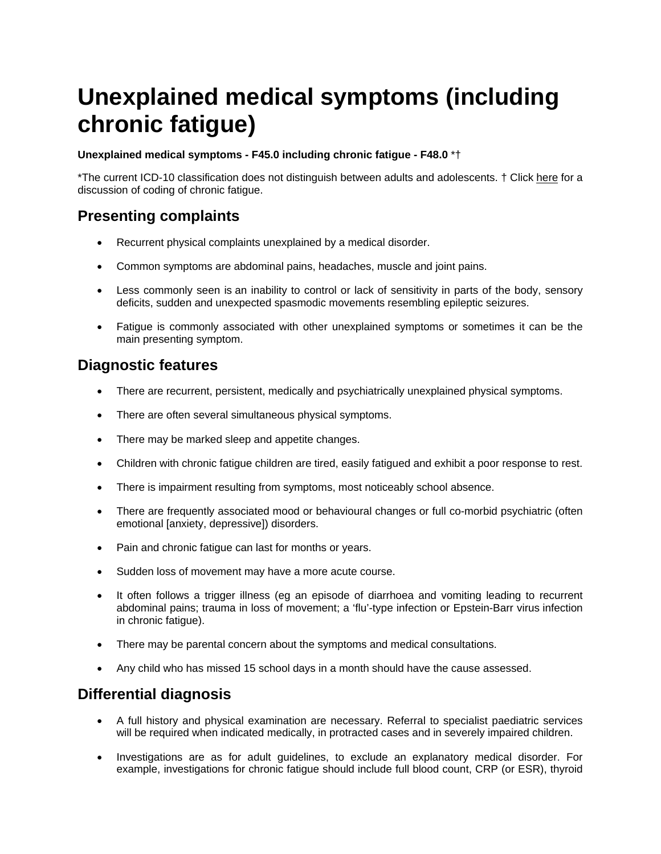# **Unexplained medical symptoms (including chronic fatigue)**

#### **Unexplained medical symptoms - F45.0 including chronic fatigue - F48.0** \*†

\*The current ICD-10 classification does not distinguish between adults and adolescents. † Click [here](http://www.nelmh.net/content_show.asp?c=16&fid=895&fc=005027) for a discussion of coding of chronic fatigue.

### **Presenting complaints**

- Recurrent physical complaints unexplained by a medical disorder.
- Common symptoms are abdominal pains, headaches, muscle and joint pains.
- Less commonly seen is an inability to control or lack of sensitivity in parts of the body, sensory deficits, sudden and unexpected spasmodic movements resembling epileptic seizures.
- Fatigue is commonly associated with other unexplained symptoms or sometimes it can be the main presenting symptom.

#### **Diagnostic features**

- There are recurrent, persistent, medically and psychiatrically unexplained physical symptoms.
- There are often several simultaneous physical symptoms.
- There may be marked sleep and appetite changes.
- Children with chronic fatigue children are tired, easily fatigued and exhibit a poor response to rest.
- There is impairment resulting from symptoms, most noticeably school absence.
- There are frequently associated mood or behavioural changes or full co-morbid psychiatric (often emotional [anxiety, depressive]) disorders.
- Pain and chronic fatigue can last for months or years.
- Sudden loss of movement may have a more acute course.
- It often follows a trigger illness (eg an episode of diarrhoea and vomiting leading to recurrent abdominal pains; trauma in loss of movement; a 'flu'-type infection or Epstein-Barr virus infection in chronic fatigue).
- There may be parental concern about the symptoms and medical consultations.
- Any child who has missed 15 school days in a month should have the cause assessed.

### **Differential diagnosis**

- A full history and physical examination are necessary. Referral to specialist paediatric services will be required when indicated medically, in protracted cases and in severely impaired children.
- Investigations are as for adult guidelines, to exclude an explanatory medical disorder. For example, investigations for chronic fatigue should include full blood count, CRP (or ESR), thyroid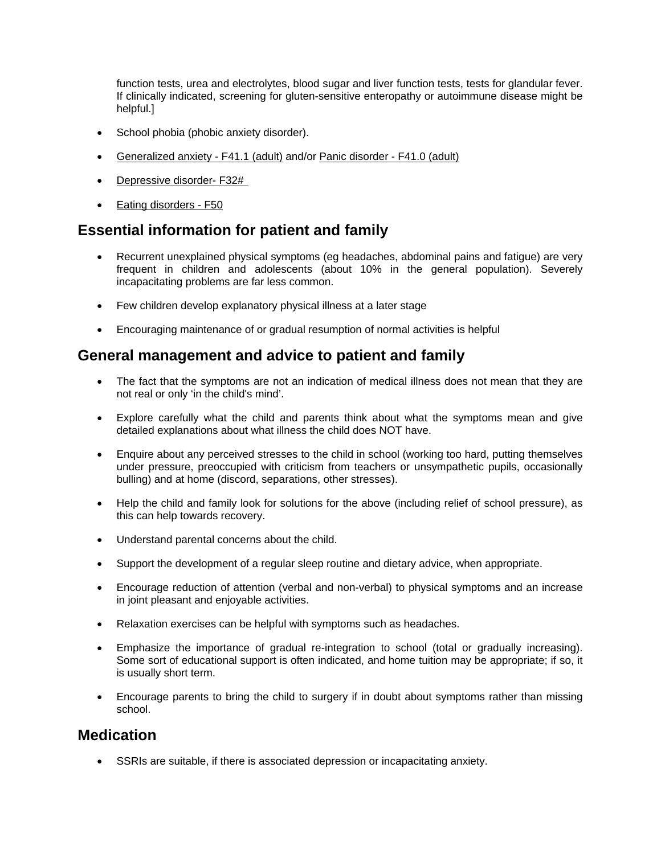function tests, urea and electrolytes, blood sugar and liver function tests, tests for glandular fever. If clinically indicated, screening for gluten-sensitive enteropathy or autoimmune disease might be helpful.]

- School phobia (phobic anxiety disorder).
- Generalized anxiety F41.1 (adult) and/or Panic disorder F41.0 (adult)
- Depressive disorder- F32#
- Eating disorders F50

## **Essential information for patient and family**

- Recurrent unexplained physical symptoms (eg headaches, abdominal pains and fatigue) are very frequent in children and adolescents (about 10% in the general population). Severely incapacitating problems are far less common.
- Few children develop explanatory physical illness at a later stage
- Encouraging maintenance of or gradual resumption of normal activities is helpful

### **General management and advice to patient and family**

- The fact that the symptoms are not an indication of medical illness does not mean that they are not real or only 'in the child's mind'.
- Explore carefully what the child and parents think about what the symptoms mean and give detailed explanations about what illness the child does NOT have.
- Enquire about any perceived stresses to the child in school (working too hard, putting themselves under pressure, preoccupied with criticism from teachers or unsympathetic pupils, occasionally bulling) and at home (discord, separations, other stresses).
- Help the child and family look for solutions for the above (including relief of school pressure), as this can help towards recovery.
- Understand parental concerns about the child.
- Support the development of a regular sleep routine and dietary advice, when appropriate.
- Encourage reduction of attention (verbal and non-verbal) to physical symptoms and an increase in joint pleasant and enjoyable activities.
- Relaxation exercises can be helpful with symptoms such as headaches.
- Emphasize the importance of gradual re-integration to school (total or gradually increasing). Some sort of educational support is often indicated, and home tuition may be appropriate; if so, it is usually short term.
- Encourage parents to bring the child to surgery if in doubt about symptoms rather than missing school.

### **Medication**

• SSRIs are suitable, if there is associated depression or incapacitating anxiety.